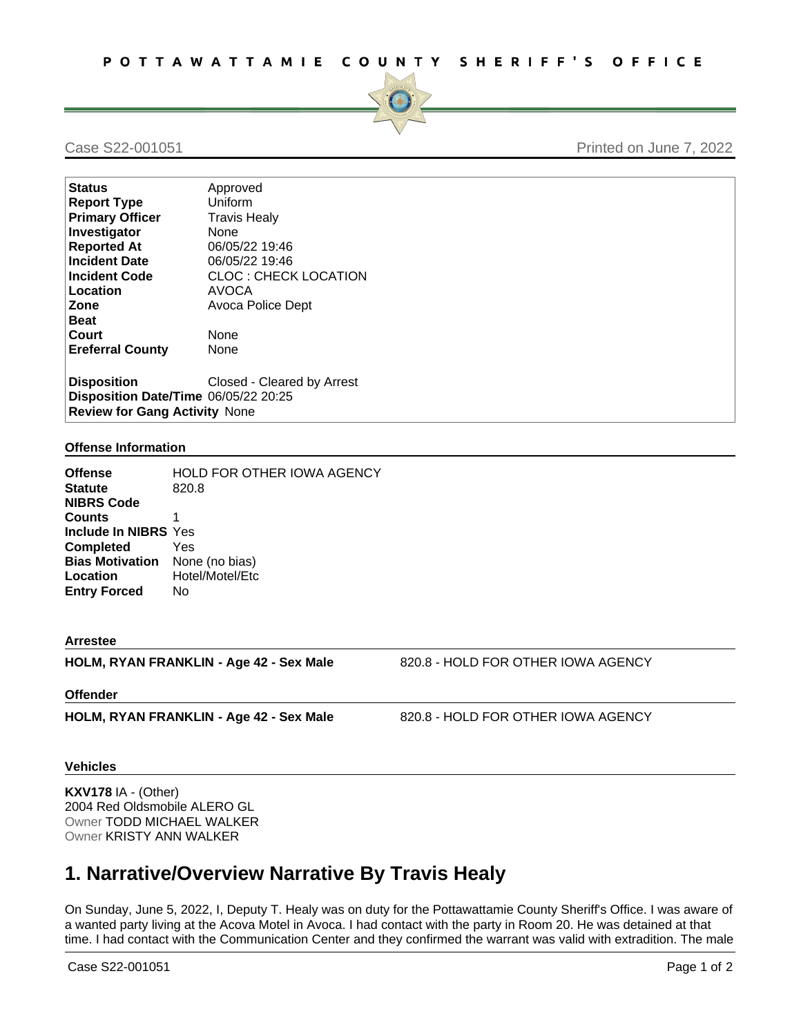

## Case S22-001051 Printed on June 7, 2022

| <b>Status</b>                        | Approved                    |
|--------------------------------------|-----------------------------|
| <b>Report Type</b>                   | Uniform                     |
| <b>Primary Officer</b>               | <b>Travis Healy</b>         |
| Investigator                         | None                        |
| <b>Reported At</b>                   | 06/05/22 19:46              |
| <b>Incident Date</b>                 | 06/05/22 19:46              |
| <b>Incident Code</b>                 | <b>CLOC: CHECK LOCATION</b> |
| Location                             | AVOCA                       |
| Zone                                 | Avoca Police Dept           |
| <b>Beat</b>                          |                             |
| Court                                | None                        |
| <b>Ereferral County</b>              | None                        |
| <b>Disposition</b>                   | Closed - Cleared by Arrest  |
| Disposition Date/Time 06/05/22 20:25 |                             |
| <b>Review for Gang Activity None</b> |                             |

#### **Offense Information**

| <b>HOLD FOR OTHER IOWA AGENCY</b><br>820.8 |
|--------------------------------------------|
| 1                                          |
| Include In NIBRS Yes                       |
| Yes                                        |
| <b>Bias Motivation</b> None (no bias)      |
| Hotel/Motel/Etc                            |
| No                                         |
|                                            |

#### **Arrestee**

**HOLM, RYAN FRANKLIN - Age 42 - Sex Male** 820.8 - HOLD FOR OTHER IOWA AGENCY

### **Offender**

**HOLM, RYAN FRANKLIN - Age 42 - Sex Male** 820.8 - HOLD FOR OTHER IOWA AGENCY

#### **Vehicles**

**KXV178** IA - (Other) 2004 Red Oldsmobile ALERO GL Owner TODD MICHAEL WALKER Owner KRISTY ANN WALKER

# **1. Narrative/Overview Narrative By Travis Healy**

On Sunday, June 5, 2022, I, Deputy T. Healy was on duty for the Pottawattamie County Sheriff's Office. I was aware of a wanted party living at the Acova Motel in Avoca. I had contact with the party in Room 20. He was detained at that time. I had contact with the Communication Center and they confirmed the warrant was valid with extradition. The male